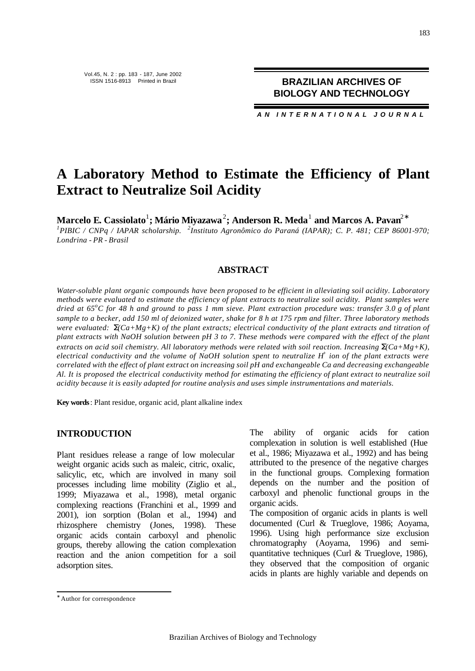*AN INTERNATIONAL JOURNAL*

### **A Laboratory Method to Estimate the Efficiency of Plant Extract to Neutralize Soil Acidity**

 $\mathbf{M}$ arcelo **E. Cassiolato** $^1$ **; Mário Miyazawa** $^2$ **; Anderson <b>R.** Meda $^1$  and Marcos A. Pavan $^{2*}$ 

*1 PIBIC / CNPq / IAPAR scholarship. <sup>2</sup> Instituto Agronômico do Paraná (IAPAR); C. P. 481; CEP 86001-970; Londrina - PR - Brasil*

#### **ABSTRACT**

*Water-soluble plant organic compounds have been proposed to be efficient in alleviating soil acidity. Laboratory methods were evaluated to estimate the efficiency of plant extracts to neutralize soil acidity. Plant samples were dried at 65<sup>o</sup>C for 48 h and ground to pass 1 mm sieve. Plant extraction procedure was: transfer 3.0 g of plant sample to a becker, add 150 ml of deionized water, shake for 8 h at 175 rpm and filter. Three laboratory methods were evaluated:*  $\mathbf{S}$ *Ca+Mg+K) of the plant extracts; electrical conductivity of the plant extracts and titration of plant extracts with NaOH solution between pH 3 to 7. These methods were compared with the effect of the plant extracts on acid soil chemistry. All laboratory methods were related with soil reaction. Increasing*  $\mathbf{S}$ *Ca+Mg+K), electrical conductivity and the volume of NaOH solution spent to neutralize H<sup>+</sup> ion of the plant extracts were correlated with the effect of plant extract on increasing soil pH and exchangeable Ca and decreasing exchangeable Al. It is proposed the electrical conductivity method for estimating the efficiency of plant extract to neutralize soil acidity because it is easily adapted for routine analysis and uses simple instrumentations and materials.* 

**Key words**: Plant residue, organic acid, plant alkaline index

#### **INTRODUCTION**

Plant residues release a range of low molecular weight organic acids such as maleic, citric, oxalic, salicylic, etc, which are involved in many soil processes including lime mobility (Ziglio et al., 1999; Miyazawa et al., 1998), metal organic complexing reactions (Franchini et al., 1999 and 2001), ion sorption (Bolan et al., 1994) and rhizosphere chemistry (Jones, 1998). These organic acids contain carboxyl and phenolic groups, thereby allowing the cation complexation reaction and the anion competition for a soil adsorption sites.

The ability of organic acids for cation complexation in solution is well established (Hue et al., 1986; Miyazawa et al., 1992) and has being attributed to the presence of the negative charges in the functional groups. Complexing formation depends on the number and the position of carboxyl and phenolic functional groups in the organic acids.

The composition of organic acids in plants is well documented (Curl & Trueglove, 1986; Aoyama, 1996). Using high performance size exclusion chromatography (Aoyama, 1996) and semiquantitative techniques (Curl & Trueglove, 1986), they observed that the composition of organic acids in plants are highly variable and depends on

l

<sup>∗</sup> Author for correspondence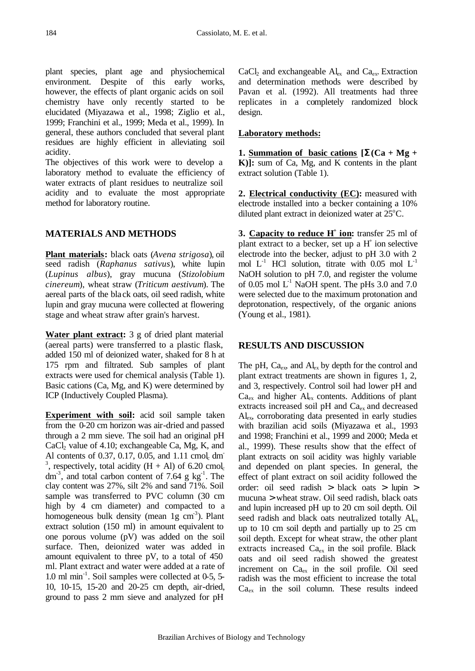plant species, plant age and physiochemical environment. Despite of this early works, however, the effects of plant organic acids on soil chemistry have only recently started to be elucidated (Miyazawa et al., 1998; Ziglio et al., 1999; Franchini et al., 1999; Meda et al., 1999). In general, these authors concluded that several plant residues are highly efficient in alleviating soil acidity.

The objectives of this work were to develop a laboratory method to evaluate the efficiency of water extracts of plant residues to neutralize soil acidity and to evaluate the most appropriate method for laboratory routine.

#### **MATERIALS AND METHODS**

**Plant materials:** black oats (*Avena strigosa*), oil seed radish (*Raphanus sativus*), white lupin (*Lupinus albus*), gray mucuna (*Stizolobium cinereum*), wheat straw (*Triticum aestivum*). The aereal parts of the bla ck oats, oil seed radish, white lupin and gray mucuna were collected at flowering stage and wheat straw after grain's harvest.

**Water plant extract:** 3 g of dried plant material (aereal parts) were transferred to a plastic flask, added 150 ml of deionized water, shaked for 8 h at 175 rpm and filtrated. Sub samples of plant extracts were used for chemical analysis (Table 1). Basic cations (Ca, Mg, and K) were determined by ICP (Inductively Coupled Plasma).

**Experiment with soil:** acid soil sample taken from the 0-20 cm horizon was air-dried and passed through a 2 mm sieve. The soil had an original pH  $CaCl<sub>2</sub>$  value of 4.10; exchangeable Ca, Mg, K, and Al contents of 0.37, 0.17, 0.05, and 1.11 cmol, dm <sup>3</sup>, respectively, total acidity  $(H + Al)$  of 6.20 cmol. dm<sup>-3</sup>, and total carbon content of 7.64 g kg<sup>-1</sup>. The clay content was 27%, silt 2% and sand 71%. Soil sample was transferred to PVC column (30 cm high by 4 cm diameter) and compacted to a homogeneous bulk density (mean  $1g$  cm<sup>-3</sup>). Plant extract solution (150 ml) in amount equivalent to one porous volume (pV) was added on the soil surface. Then, deionized water was added in amount equivalent to three pV, to a total of 450 ml. Plant extract and water were added at a rate of 1.0 ml min-1 . Soil samples were collected at 0-5, 5- 10, 10-15, 15-20 and 20-25 cm depth, air-dried, ground to pass 2 mm sieve and analyzed for pH

 $CaCl<sub>2</sub>$  and exchangeable  $Al_{ex}$  and  $Ca<sub>ex</sub>$ . Extraction and determination methods were described by Pavan et al. (1992). All treatments had three replicates in a completely randomized block design.

#### **Laboratory methods:**

**1. Summation of basic cations**  $[\mathbf{S}(\mathbf{C}\mathbf{a} + \mathbf{M}\mathbf{g}] + \mathbf{A}\mathbf{S}\mathbf{a}]$ **K)]:** sum of Ca, Mg, and K contents in the plant extract solution (Table 1).

**2. Electrical conductivity (EC):** measured with electrode installed into a becker containing a 10% diluted plant extract in deionized water at  $25^{\circ}$ C.

**3. Capacity to reduce H<sup>+</sup>** ion: transfer 25 ml of plant extract to a becker, set up a  $H^+$  ion selective electrode into the becker, adjust to pH 3.0 with 2 mol  $L^{-1}$  HCl solution, titrate with 0.05 mol  $L^{-1}$ NaOH solution to pH 7.0, and register the volume of 0.05 mol  $L^{-1}$  NaOH spent. The pHs 3.0 and 7.0 were selected due to the maximum protonation and deprotonation, respectively, of the organic anions (Young et al., 1981).

#### **RESULTS AND DISCUSSION**

The pH,  $Ca_{ex}$ , and  $Al_{ex}$  by depth for the control and plant extract treatments are shown in figures 1, 2, and 3, respectively. Control soil had lower pH and  $Ca<sub>ex</sub>$  and higher  $Al<sub>ex</sub>$  contents. Additions of plant extracts increased soil pH and  $Ca<sub>ex</sub>$  and decreased Alex, corroborating data presented in early studies with brazilian acid soils (Miyazawa et al., 1993 and 1998; Franchini et al., 1999 and 2000; Meda et al., 1999). These results show that the effect of plant extracts on soil acidity was highly variable and depended on plant species. In general, the effect of plant extract on soil acidity followed the order: oil seed radish > black oats > lupin > mucuna > wheat straw. Oil seed radish, black oats and lupin increased pH up to 20 cm soil depth. Oil seed radish and black oats neutralized totally  $Al_{ex}$ up to 10 cm soil depth and partially up to 25 cm soil depth. Except for wheat straw, the other plant extracts increased  $Ca_{ex}$  in the soil profile. Black oats and oil seed radish showed the greatest increment on Ca<sub>ex</sub> in the soil profile. Oil seed radish was the most efficient to increase the total  $Ca<sub>ex</sub>$  in the soil column. These results indeed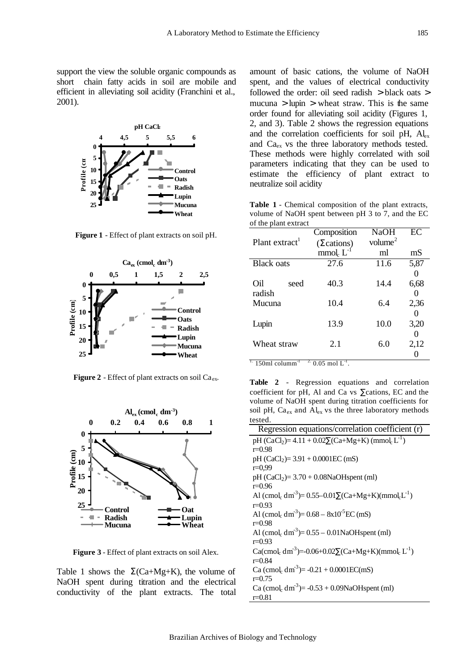support the view the soluble organic compounds as short chain fatty acids in soil are mobile and efficient in alleviating soil acidity (Franchini et al., 2001).



**Figure 1** - Effect of plant extracts on soil pH.



**Figure 2** - Effect of plant extracts on soil  $Ca_{ex}$ .



**Figure 3** - Effect of plant extracts on soil Alex.

Table 1 shows the  $\Sigma$ (Ca+Mg+K), the volume of NaOH spent during titration and the electrical conductivity of the plant extracts. The total

amount of basic cations, the volume of NaOH spent, and the values of electrical conductivity followed the order: oil seed radish > black oats > mucuna  $>$  lupin  $>$  wheat straw. This is the same order found for alleviating soil acidity (Figures 1, 2, and 3). Table 2 shows the regression equations and the correlation coefficients for soil pH,  $Al_{ex}$ and Ca<sub>ex</sub> vs the three laboratory methods tested. These methods were highly correlated with soil parameters indicating that they can be used to estimate the efficiency of plant extract to neutralize soil acidity

**Table 1** - Chemical composition of the plant extracts, volume of NaOH spent between pH 3 to 7, and the EC of the plant extract

|                            | Composition                      | <b>NaOH</b>   | EC   |
|----------------------------|----------------------------------|---------------|------|
| Plant extract <sup>1</sup> | (2cations)                       | volume $^{2}$ |      |
|                            | mmol <sub>c</sub> L <sup>-</sup> | ml            | mS   |
| <b>Black</b> oats          | 27.6                             | 11.6          | 5,87 |
|                            |                                  |               |      |
| Oil<br>seed                | 40.3                             | 14.4          | 6,68 |
| radish                     |                                  |               |      |
| Mucuna                     | 10.4                             | 6.4           | 2,36 |
|                            |                                  |               |      |
| Lupin                      | 13.9                             | 10.0          | 3,20 |
|                            |                                  |               |      |
| Wheat straw                | 2.1                              | 6.0           | 2,12 |
|                            |                                  |               |      |

 $1.150$ ml columm<sup>-1</sup>  $2^{\circ}$  0.05 mol  $L^{-1}$ .

**Table 2** - Regression equations and correlation coefficient for pH, Al and Ca vs ∑cations, EC and the volume of NaOH spent during titration coefficients for soil pH,  $Ca_{ex}$  and  $Al_{ex}$  vs the three laboratory methods tested.

| Regression equations/correlation coefficient (r)                                                         |  |  |  |
|----------------------------------------------------------------------------------------------------------|--|--|--|
| pH (CaCl <sub>2</sub> )= 4.11 + $0.02\sum$ (Ca+Mg+K) (mmol <sub>c</sub> L <sup>-1</sup> )                |  |  |  |
| $r=0.98$                                                                                                 |  |  |  |
| pH $(CaCl2) = 3.91 + 0.0001EC$ (mS)                                                                      |  |  |  |
| $r=0.99$                                                                                                 |  |  |  |
| $pH (CaCl2) = 3.70 + 0.08NaOH spent (ml)$                                                                |  |  |  |
| $r=0.96$                                                                                                 |  |  |  |
| Al (cmol <sub>c</sub> dm <sup>-3</sup> )= 0.55–0.01 $\sum$ (Ca+Mg+K)(mmol <sub>c</sub> L <sup>-1</sup> ) |  |  |  |
| $r = 0.93$                                                                                               |  |  |  |
| Al (cmol, $dm^{-3}$ )= 0.68 – 8x10 <sup>-5</sup> EC (mS)                                                 |  |  |  |
| $r = 0.98$                                                                                               |  |  |  |
| Al (cmol <sub>c</sub> dm <sup>-3</sup> )= $0.55 - 0.01$ NaOH spent (ml)                                  |  |  |  |
| $r = 0.93$                                                                                               |  |  |  |
| Ca(cmol <sub>c</sub> dm <sup>-3</sup> )=-0.06+0.02 $\sum$ (Ca+Mg+K)(mmol <sub>c</sub> L <sup>-1</sup> )  |  |  |  |
| $r = 0.84$                                                                                               |  |  |  |
| Ca (cmol <sub>c</sub> dm <sup>-3</sup> )= -0.21 + 0.0001EC(mS)                                           |  |  |  |
| $r=0.75$                                                                                                 |  |  |  |
| Ca (cmol <sub>c</sub> dm <sup>-3</sup> )= $-0.53 + 0.09$ NaOH spent (ml)                                 |  |  |  |
| $r = 0.81$                                                                                               |  |  |  |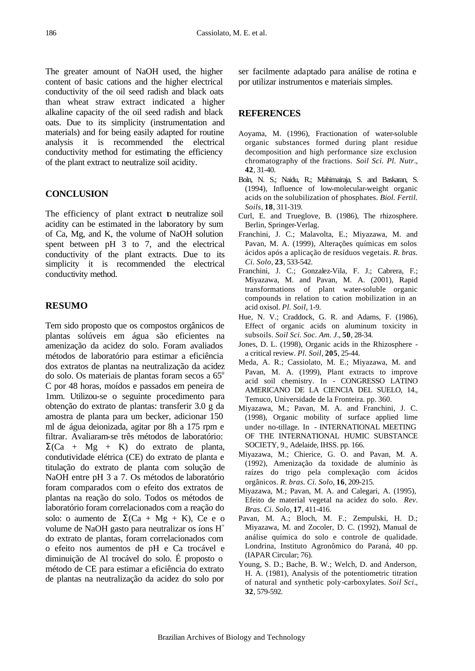The greater amount of NaOH used, the higher content of basic cations and the higher electrical conductivity of the oil seed radish and black oats than wheat straw extract indicated a higher alkaline capacity of the oil seed radish and black oats. Due to its simplicity (instrumentation and materials) and for being easily adapted for routine analysis it is recommended the electrical conductivity method for estimating the efficiency of the plant extract to neutralize soil acidity.

#### **CONCLUSION**

The efficiency of plant extract to neutralize soil acidity can be estimated in the laboratory by sum of Ca, Mg, and K, the volume of NaOH solution spent between pH 3 to 7, and the electrical conductivity of the plant extracts. Due to its simplicity it is recommended the electrical conductivity method.

#### **RESUMO**

Tem sido proposto que os compostos orgânicos de plantas solúveis em água são eficientes na amenização da acidez do solo. Foram avaliados métodos de laboratório para estimar a eficiência dos extratos de plantas na neutralização da acidez do solo. Os materiais de plantas foram secos a 65<sup>o</sup> C por 48 horas, moídos e passados em peneira de 1mm. Utilizou-se o seguinte procedimento para obtenção do extrato de plantas: transferir 3.0 g da amostra de planta para um becker, adicionar 150 ml de água deionizada, agitar por 8h a 175 rpm e filtrar. Avaliaram-se três métodos de laboratório:  $\Sigma$ (Ca + Mg + K) do extrato de planta, condutividade elétrica (CE) do extrato de planta e titulação do extrato de planta com solução de NaOH entre pH 3 a 7. Os métodos de laboratório foram comparados com o efeito dos extratos de plantas na reação do solo. Todos os métodos de laboratório foram correlacionados com a reação do solo: o aumento de  $\Sigma(Ca + Mg + K)$ , Ce e o volume de NaOH gasto para neutralizar os íons H<sup>+</sup> do extrato de plantas, foram correlacionados com o efeito nos aumentos de pH e Ca trocável e diminuição de Al trocável do solo. É proposto o método de CE para estimar a eficiência do extrato de plantas na neutralização da acidez do solo por

ser facilmente adaptado para análise de rotina e por utilizar instrumentos e materiais simples.

#### **REFERENCES**

- Aoyama, M. (1996), Fractionation of water-soluble organic substances formed during plant residue decomposition and high performance size exclusion chromatography of the fractions. *Soil Sci. Pl. Nutr*., **42**, 31-40.
- Boln, N. S.; Naidu, R.; Mahimairaja, S. and Baskaran, S. (1994), Influence of low-molecular-weight organic acids on the solubilization of phosphates. *Biol. Fertil. Soils*, **18**, 311-319.
- Curl, E. and Trueglove, B. (1986), The rhizosphere. Berlin, Springer-Verlag.
- Franchini, J. C.; Malavolta, E.; Miyazawa, M. and Pavan, M. A. (1999), Alterações químicas em solos ácidos após a aplicação de resíduos vegetais. *R. bras. Ci. Solo*, **23**, 533-542.
- Franchini, J. C.; Gonzalez-Vila, F. J.; Cabrera, F.; Miyazawa, M. and Pavan, M. A. (2001), Rapid transformations of plant water-soluble organic compounds in relation to cation mobilization in an acid oxisol. *Pl. Soil*, 1-9.
- Hue, N. V.; Craddock, G. R. and Adams, F. (1986), Effect of organic acids on aluminum toxicity in subsoils. *Soil Sci. Soc. Am. J*., **50**, 28-34.
- Jones, D. L. (1998), Organic acids in the Rhizosphere a critical review. *Pl. Soil*, **205**, 25-44.
- Meda, A. R.; Cassiolato, M. E.; Miyazawa, M. and Pavan, M. A. (1999), Plant extracts to improve acid soil chemistry. In - CONGRESSO LATINO AMERICANO DE LA CIENCIA DEL SUELO, 14., Temuco, Universidade de la Fronteira. pp. 360.
- Miyazawa, M.; Pavan, M. A. and Franchini, J. C. (1998), Organic mobility of surface applied lime under no-tillage. In - INTERNATIONAL MEETING OF THE INTERNATIONAL HUMIC SUBSTANCE SOCIETY, 9., Adelaide, IHSS. pp. 166.
- Miyazawa, M.; Chierice, G. O. and Pavan, M. A. (1992), Amenização da toxidade de alumínio às raízes do trigo pela complexação com ácidos orgânicos. *R. bras. Ci. Solo*, **16**, 209-215.
- Miyazawa, M.; Pavan, M. A. and Calegari, A. (1995), Efeito de material vegetal na acidez do solo. *Rev*. *Bras. Ci. Solo*, **17**, 411-416.
- Pavan, M. A.; Bloch, M. F.; Zempulski, H. D.; Miyazawa, M. and Zocoler, D. C. (1992), Manual de análise química do solo e controle de qualidade. Londrina, Instituto Agronômico do Paraná, 40 pp. (IAPAR Circular; 76).
- Young, S. D.; Bache, B. W.; Welch, D. and Anderson, H. A. (1981), Analysis of the potentiometric titration of natural and synthetic poly-carboxylates. *Soil Sci*., **32**, 579-592.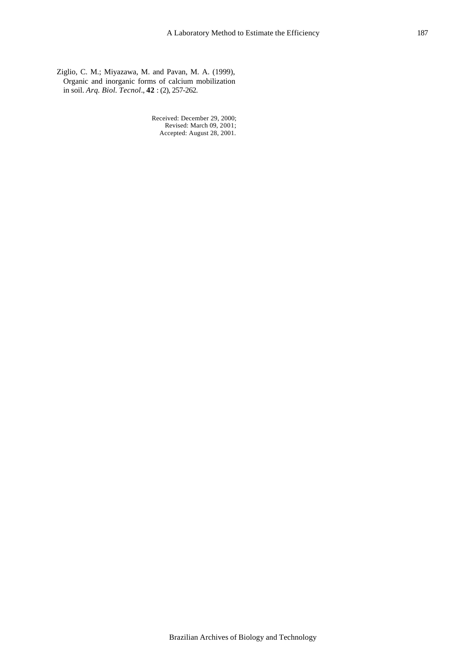Ziglio, C. M.; Miyazawa, M. and Pavan, M. A. (1999), Organic and inorganic forms of calcium mobilization in soil. *Arq. Biol. Tecnol*., **42** : (2), 257-262.

> Received: December 29, 2000; Revised: March 09, 2001; Accepted: August 28, 2001.